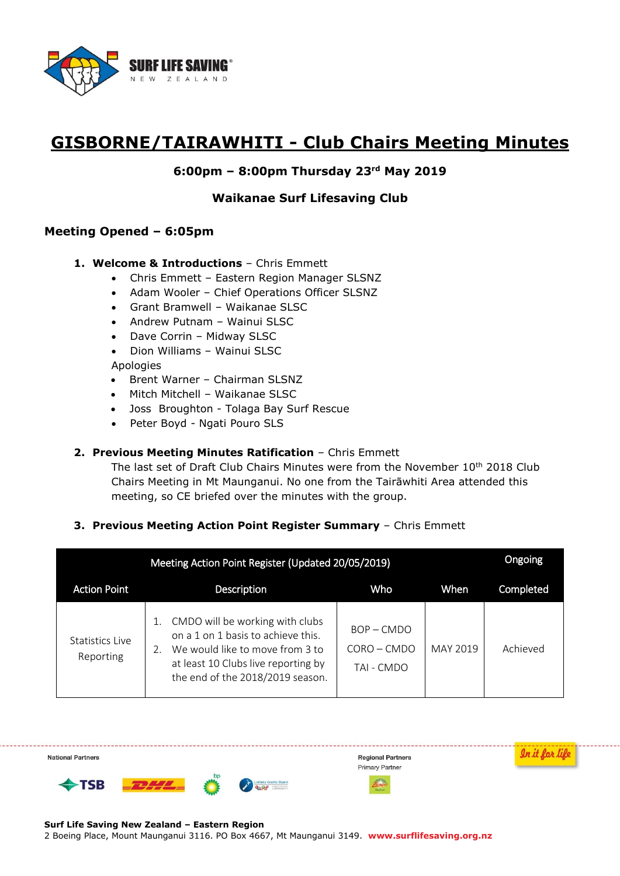

# **GISBORNE/TAIRAWHITI - Club Chairs Meeting Minutes**

# **6:00pm – 8:00pm Thursday 23rd May 2019**

## **Waikanae Surf Lifesaving Club**

## **Meeting Opened – 6:05pm**

- **1. Welcome & Introductions** Chris Emmett
	- Chris Emmett Eastern Region Manager SLSNZ
	- Adam Wooler Chief Operations Officer SLSNZ
	- Grant Bramwell Waikanae SLSC
	- Andrew Putnam Wainui SLSC
	- Dave Corrin Midway SLSC
	- Dion Williams Wainui SLSC

#### Apologies

- Brent Warner Chairman SLSNZ
- Mitch Mitchell Waikanae SLSC
- Joss Broughton Tolaga Bay Surf Rescue
- Peter Boyd Ngati Pouro SLS

#### **2. Previous Meeting Minutes Ratification** – Chris Emmett

The last set of Draft Club Chairs Minutes were from the November  $10<sup>th</sup>$  2018 Club Chairs Meeting in Mt Maunganui. No one from the Tairāwhiti Area attended this meeting, so CE briefed over the minutes with the group.

#### **3. Previous Meeting Action Point Register Summary** – Chris Emmett

| Meeting Action Point Register (Updated 20/05/2019) |                                                                                                                                                                                           |                                             |          |           |
|----------------------------------------------------|-------------------------------------------------------------------------------------------------------------------------------------------------------------------------------------------|---------------------------------------------|----------|-----------|
| <b>Action Point</b>                                | <b>Description</b>                                                                                                                                                                        | Who                                         | When     | Completed |
| Statistics Live<br>Reporting                       | CMDO will be working with clubs<br>on a 1 on 1 basis to achieve this.<br>We would like to move from 3 to<br>2.<br>at least 10 Clubs live reporting by<br>the end of the 2018/2019 season. | $BOP - CMDO$<br>$CORO - CMDO$<br>TAI - CMDO | MAY 2019 | Achieved  |

In it for life **National Partners Regional Partners Primary Partner DHL** Lottery Grants Board  $\blacktriangleright$  TSB

**Surf Life Saving New Zealand – Eastern Region**  2 Boeing Place, Mount Maunganui 3116. PO Box 4667, Mt Maunganui 3149. **www.surflifesaving.org.nz**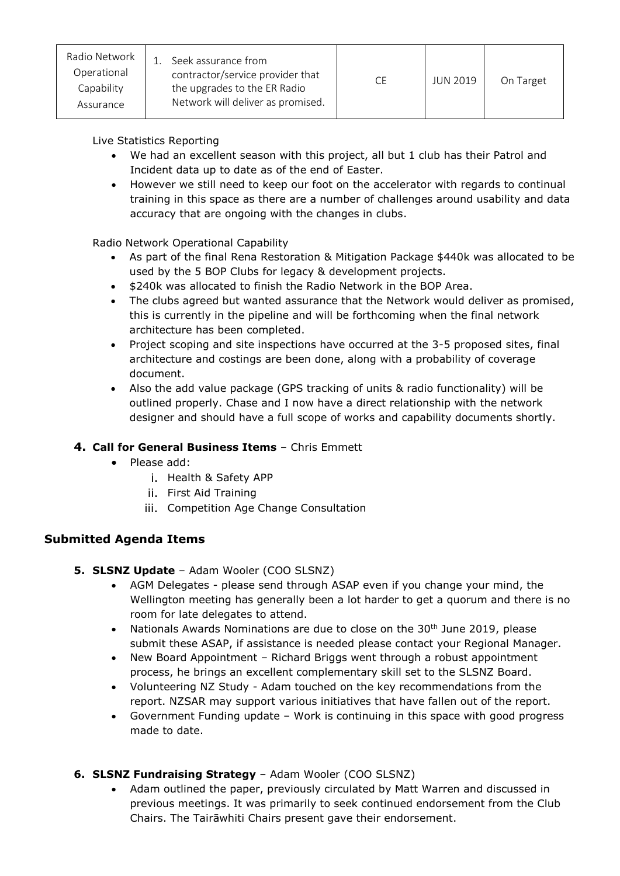| Radio Network<br>Operational<br>Capability<br>Assurance | Seek assurance from<br>contractor/service provider that<br>the upgrades to the ER Radio<br>Network will deliver as promised. | <b>CE</b> | <b>JUN 2019</b> | On Target |
|---------------------------------------------------------|------------------------------------------------------------------------------------------------------------------------------|-----------|-----------------|-----------|
|---------------------------------------------------------|------------------------------------------------------------------------------------------------------------------------------|-----------|-----------------|-----------|

# Live Statistics Reporting

- We had an excellent season with this project, all but 1 club has their Patrol and Incident data up to date as of the end of Easter.
- However we still need to keep our foot on the accelerator with regards to continual training in this space as there are a number of challenges around usability and data accuracy that are ongoing with the changes in clubs.

Radio Network Operational Capability

- As part of the final Rena Restoration & Mitigation Package \$440k was allocated to be used by the 5 BOP Clubs for legacy & development projects.
- $\bullet$  \$240k was allocated to finish the Radio Network in the BOP Area.
- The clubs agreed but wanted assurance that the Network would deliver as promised, this is currently in the pipeline and will be forthcoming when the final network architecture has been completed.
- Project scoping and site inspections have occurred at the 3-5 proposed sites, final architecture and costings are been done, along with a probability of coverage document.
- Also the add value package (GPS tracking of units & radio functionality) will be outlined properly. Chase and I now have a direct relationship with the network designer and should have a full scope of works and capability documents shortly.

# **4. Call for General Business Items** – Chris Emmett

- Please add:
	- i. Health & Safety APP
	- ii. First Aid Training
	- iii. Competition Age Change Consultation

# **Submitted Agenda Items**

- **5. SLSNZ Update** Adam Wooler (COO SLSNZ)
	- AGM Delegates please send through ASAP even if you change your mind, the Wellington meeting has generally been a lot harder to get a quorum and there is no room for late delegates to attend.
	- Nationals Awards Nominations are due to close on the 30<sup>th</sup> June 2019, please submit these ASAP, if assistance is needed please contact your Regional Manager.
	- New Board Appointment Richard Briggs went through a robust appointment process, he brings an excellent complementary skill set to the SLSNZ Board.
	- Volunteering NZ Study Adam touched on the key recommendations from the report. NZSAR may support various initiatives that have fallen out of the report.
	- Government Funding update Work is continuing in this space with good progress made to date.

# **6. SLSNZ Fundraising Strategy** – Adam Wooler (COO SLSNZ)

 Adam outlined the paper, previously circulated by Matt Warren and discussed in previous meetings. It was primarily to seek continued endorsement from the Club Chairs. The Tairāwhiti Chairs present gave their endorsement.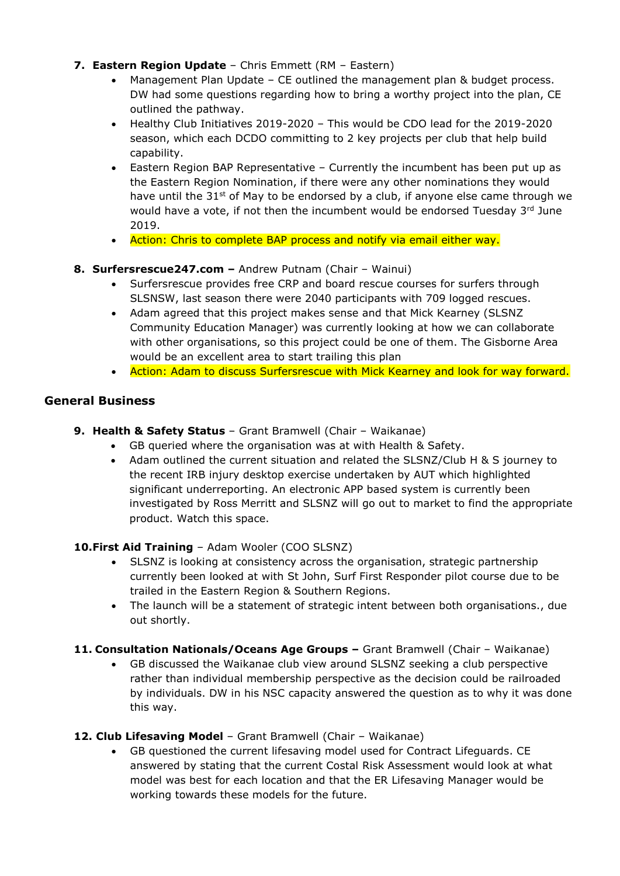- **7. Eastern Region Update** Chris Emmett (RM Eastern)
	- Management Plan Update CE outlined the management plan & budget process. DW had some questions regarding how to bring a worthy project into the plan, CE outlined the pathway.
	- Healthy Club Initiatives 2019-2020 This would be CDO lead for the 2019-2020 season, which each DCDO committing to 2 key projects per club that help build capability.
	- Eastern Region BAP Representative Currently the incumbent has been put up as the Eastern Region Nomination, if there were any other nominations they would have until the 31<sup>st</sup> of May to be endorsed by a club, if anyone else came through we would have a vote, if not then the incumbent would be endorsed Tuesday 3rd June 2019.
	- Action: Chris to complete BAP process and notify via email either way.

### **8. Surfersrescue247.com –** Andrew Putnam (Chair – Wainui)

- Surfersrescue provides free CRP and board rescue courses for surfers through SLSNSW, last season there were 2040 participants with 709 logged rescues.
- Adam agreed that this project makes sense and that Mick Kearney (SLSNZ Community Education Manager) was currently looking at how we can collaborate with other organisations, so this project could be one of them. The Gisborne Area would be an excellent area to start trailing this plan
- Action: Adam to discuss Surfersrescue with Mick Kearney and look for way forward.

## **General Business**

- **9. Health & Safety Status**  Grant Bramwell (Chair Waikanae)
	- GB queried where the organisation was at with Health & Safety.
	- Adam outlined the current situation and related the SLSNZ/Club H & S journey to the recent IRB injury desktop exercise undertaken by AUT which highlighted significant underreporting. An electronic APP based system is currently been investigated by Ross Merritt and SLSNZ will go out to market to find the appropriate product. Watch this space.

#### **10.First Aid Training** – Adam Wooler (COO SLSNZ)

- SLSNZ is looking at consistency across the organisation, strategic partnership currently been looked at with St John, Surf First Responder pilot course due to be trailed in the Eastern Region & Southern Regions.
- The launch will be a statement of strategic intent between both organisations., due out shortly.
- **11. Consultation Nationals/Oceans Age Groups –** Grant Bramwell (Chair Waikanae)
	- GB discussed the Waikanae club view around SLSNZ seeking a club perspective rather than individual membership perspective as the decision could be railroaded by individuals. DW in his NSC capacity answered the question as to why it was done this way.
- **12. Club Lifesaving Model** Grant Bramwell (Chair Waikanae)
	- GB questioned the current lifesaving model used for Contract Lifeguards. CE answered by stating that the current Costal Risk Assessment would look at what model was best for each location and that the ER Lifesaving Manager would be working towards these models for the future.